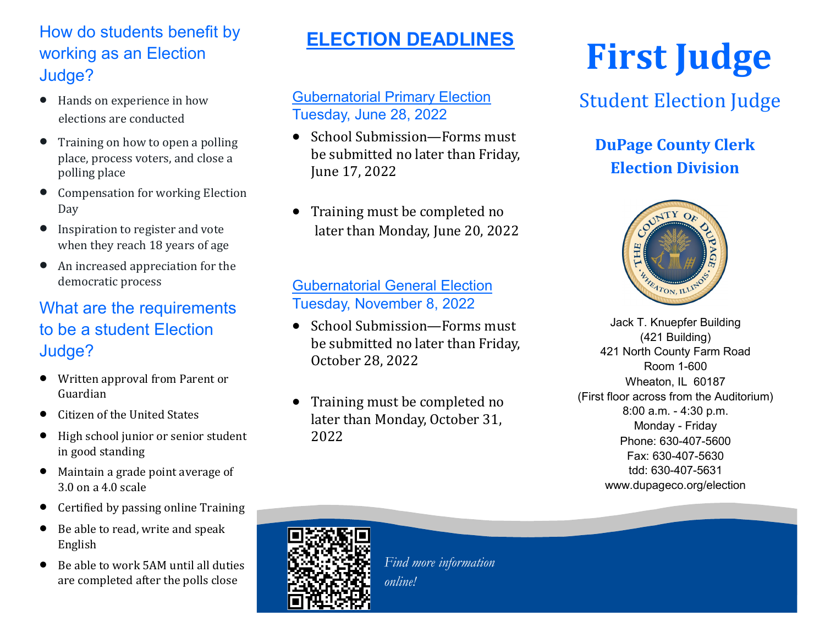## How do students benefit by working as an Election Judge?

- Hands on experience in how elections are conducted
- Training on how to open a polling place, process voters, and close a polling place
- Compensation for working Election Day
- Inspiration to register and vote when they reach 18 years of age
- An increased appreciation for the democratic process

## What are the requirements to be a student Election Judge?

- Written approval from Parent or Guardian
- Citizen of the United States
- High school junior or senior student in good standing
- Maintain a grade point average of 3.0 on a 4.0 scale
- Certified by passing online Training
- Be able to read, write and speak English
- Be able to work 5AM until all duties are completed after the polls close

# **ELECTION DEADLINES**

#### Gubernatorial Primary Election Tuesday, June 28, 2022

- School Submission—Forms must be submitted no later than Friday, June 17, 2022
- Training must be completed no later than Monday, June 20, 2022

#### Gubernatorial General Election Tuesday, November 8, 2022

- School Submission—Forms must be submitted no later than Friday, October 28, 2022
- Training must be completed no later than Monday, October 31, 2022

# **First Judge**

## Student Election Judge

## **DuPage County Clerk Election Division**



Jack T. Knuepfer Building (421 Building) 421 North County Farm Road Room 1-600 Wheaton, IL 60187 (First floor across from the Auditorium) 8:00 a.m. - 4:30 p.m. Monday - Friday Phone: 630-407-5600 Fax: 630-407-5630 tdd: 630-407-5631 www.dupageco.org/election

**\*s for the six weeks prior to any election.**



*Find more information online!*